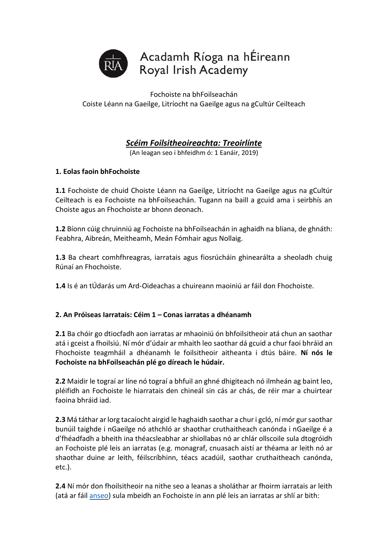

Fochoiste na bhFoilseachán Coiste Léann na Gaeilge, Litríocht na Gaeilge agus na gCultúr Ceilteach

# *Scéim Foilsitheoireachta: Treoirlínte*

(An leagan seo i bhfeidhm ó: 1 Eanáir, 2019)

# **1. Eolas faoin bhFochoiste**

**1.1** Fochoiste de chuid Choiste Léann na Gaeilge, Litríocht na Gaeilge agus na gCultúr Ceilteach is ea Fochoiste na bhFoilseachán. Tugann na baill a gcuid ama i seirbhís an Choiste agus an Fhochoiste ar bhonn deonach.

**1.2** Bíonn cúig chruinniú ag Fochoiste na bhFoilseachán in aghaidh na bliana, de ghnáth: Feabhra, Aibreán, Meitheamh, Meán Fómhair agus Nollaig.

**1.3** Ba cheart comhfhreagras, iarratais agus fiosrúcháin ghinearálta a sheoladh chuig Rúnaí an Fhochoiste.

**1.4** Is é an tÚdarás um Ard-Oideachas a chuireann maoiniú ar fáil don Fhochoiste.

### **2. An Próiseas Iarratais: Céim 1 – Conas iarratas a dhéanamh**

**2.1** Ba chóir go dtiocfadh aon iarratas ar mhaoiniú ón bhfoilsitheoir atá chun an saothar atá i gceist a fhoilsiú. Ní mór d'údair ar mhaith leo saothar dá gcuid a chur faoi bhráid an Fhochoiste teagmháil a dhéanamh le foilsitheoir aitheanta i dtús báire. **Ní nós le Fochoiste na bhFoilseachán plé go díreach le húdair.**

**2.2** Maidir le tograí ar líne nó tograí a bhfuil an ghné dhigiteach nó ilmheán ag baint leo, pléifidh an Fochoiste le hiarratais den chineál sin cás ar chás, de réir mar a chuirtear faoina bhráid iad.

**2.3** Má táthar ar lorg tacaíocht airgid le haghaidh saothar a chur i gcló, ní mór gur saothar bunúil taighde i nGaeilge nó athchló ar shaothar cruthaitheach canónda i nGaeilge é a d'fhéadfadh a bheith ina théacsleabhar ar shiollabas nó ar chlár ollscoile sula dtogróidh an Fochoiste plé leis an iarratas (e.g. monagraf, cnuasach aistí ar théama ar leith nó ar shaothar duine ar leith, féilscríbhinn, téacs acadúil, saothar cruthaitheach canónda, etc.).

**2.4** Ní mór don fhoilsitheoir na nithe seo a leanas a sholáthar ar fhoirm iarratais ar leith (atá ar fáil [anseo\)](http://www.ria.ie/sites/default/files/foirm_iarratais_dfhoilsitheoiri-1.docx) sula mbeidh an Fochoiste in ann plé leis an iarratas ar shlí ar bith: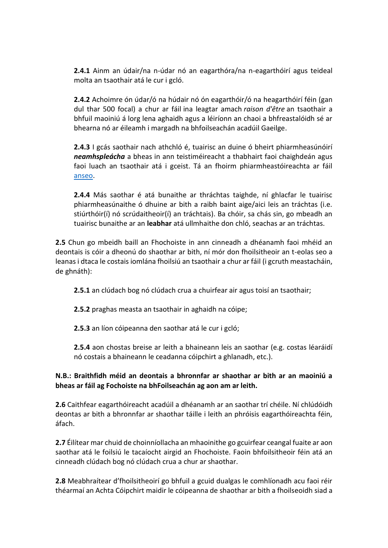**2.4.1** Ainm an údair/na n-údar nó an eagarthóra/na n-eagarthóirí agus teideal molta an tsaothair atá le cur i gcló.

**2.4.2** Achoimre ón údar/ó na húdair nó ón eagarthóir/ó na heagarthóirí féin (gan dul thar 500 focal) a chur ar fáil ina leagtar amach *raison d'être* an tsaothair a bhfuil maoiniú á lorg lena aghaidh agus a léiríonn an chaoi a bhfreastalóidh sé ar bhearna nó ar éileamh i margadh na bhfoilseachán acadúil Gaeilge.

**2.4.3** I gcás saothair nach athchló é, tuairisc an duine ó bheirt phiarmheasúnóirí *neamhspleácha* a bheas in ann teistiméireacht a thabhairt faoi chaighdeán agus faoi luach an tsaothair atá i gceist. Tá an fhoirm phiarmheastóireachta ar fáil [anseo.](http://www.ria.ie/sites/default/files/foirm_phiarmheastoireachta.docx)

**2.4.4** Más saothar é atá bunaithe ar thráchtas taighde, ní ghlacfar le tuairisc phiarmheasúnaithe ó dhuine ar bith a raibh baint aige/aici leis an tráchtas (i.e. stiúrthóir(í) nó scrúdaitheoir(í) an tráchtais). Ba chóir, sa chás sin, go mbeadh an tuairisc bunaithe ar an **leabhar** atá ullmhaithe don chló, seachas ar an tráchtas.

**2.5** Chun go mbeidh baill an Fhochoiste in ann cinneadh a dhéanamh faoi mhéid an deontais is cóir a dheonú do shaothar ar bith, ní mór don fhoilsitheoir an t-eolas seo a leanas i dtaca le costais iomlána fhoilsiú an tsaothair a chur ar fáil (i gcruth meastacháin, de ghnáth):

**2.5.1** an clúdach bog nó clúdach crua a chuirfear air agus toisí an tsaothair;

**2.5.2** praghas measta an tsaothair in aghaidh na cóipe;

**2.5.3** an líon cóipeanna den saothar atá le cur i gcló;

**2.5.4** aon chostas breise ar leith a bhaineann leis an saothar (e.g. costas léaráidí nó costais a bhaineann le ceadanna cóipchirt a ghlanadh, etc.).

# **N.B.: Braithfidh méid an deontais a bhronnfar ar shaothar ar bith ar an maoiniú a bheas ar fáil ag Fochoiste na bhFoilseachán ag aon am ar leith.**

**2.6** Caithfear eagarthóireacht acadúil a dhéanamh ar an saothar trí chéile. Ní chlúdóidh deontas ar bith a bhronnfar ar shaothar táille i leith an phróisis eagarthóireachta féin, áfach.

**2.7** Éilítear mar chuid de choinníollacha an mhaoinithe go gcuirfear ceangal fuaite ar aon saothar atá le foilsiú le tacaíocht airgid an Fhochoiste. Faoin bhfoilsitheoir féin atá an cinneadh clúdach bog nó clúdach crua a chur ar shaothar.

**2.8** Meabhraítear d'fhoilsitheoirí go bhfuil a gcuid dualgas le comhlíonadh acu faoi réir théarmaí an Achta Cóipchirt maidir le cóipeanna de shaothar ar bith a fhoilseoidh siad a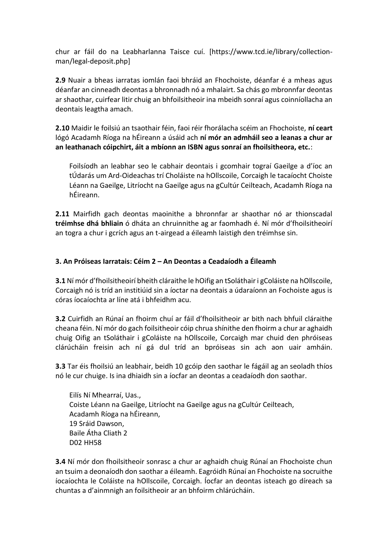chur ar fáil do na Leabharlanna Taisce cuí. [https://www.tcd.ie/library/collectionman/legal-deposit.php]

**2.9** Nuair a bheas iarratas iomlán faoi bhráid an Fhochoiste, déanfar é a mheas agus déanfar an cinneadh deontas a bhronnadh nó a mhalairt. Sa chás go mbronnfar deontas ar shaothar, cuirfear litir chuig an bhfoilsitheoir ina mbeidh sonraí agus coinníollacha an deontais leagtha amach.

**2.10** Maidir le foilsiú an tsaothair féin, faoi réir fhorálacha scéim an Fhochoiste, **ní ceart** lógó Acadamh Ríoga na hÉireann a úsáid ach **ní mór an admháil seo a leanas a chur ar an leathanach cóipchirt, áit a mbíonn an ISBN agus sonraí an fhoilsitheora, etc.**:

Foilsíodh an leabhar seo le cabhair deontais i gcomhair tograí Gaeilge a d'íoc an tÚdarás um Ard-Oideachas trí Choláiste na hOllscoile, Corcaigh le tacaíocht Choiste Léann na Gaeilge, Litríocht na Gaeilge agus na gCultúr Ceilteach, Acadamh Ríoga na hÉireann.

**2.11** Mairfidh gach deontas maoinithe a bhronnfar ar shaothar nó ar thionscadal **tréimhse dhá bhliain** ó dháta an chruinnithe ag ar faomhadh é. Ní mór d'fhoilsitheoirí an togra a chur i gcrích agus an t-airgead a éileamh laistigh den tréimhse sin.

### **3. An Próiseas Iarratais: Céim 2 – An Deontas a Ceadaíodh a Éileamh**

**3.1** Ní mór d'fhoilsitheoirí bheith cláraithe le hOifig an tSoláthair i gColáiste na hOllscoile, Corcaigh nó is tríd an institiúid sin a íoctar na deontais a údaraíonn an Fochoiste agus is córas íocaíochta ar líne atá i bhfeidhm acu.

**3.2** Cuirfidh an Rúnaí an fhoirm chuí ar fáil d'fhoilsitheoir ar bith nach bhfuil cláraithe cheana féin. Ní mór do gach foilsitheoir cóip chrua shínithe den fhoirm a chur ar aghaidh chuig Oifig an tSoláthair i gColáiste na hOllscoile, Corcaigh mar chuid den phróiseas clárúcháin freisin ach ní gá dul tríd an bpróiseas sin ach aon uair amháin.

**3.3** Tar éis fhoilsiú an leabhair, beidh 10 gcóip den saothar le fágáil ag an seoladh thíos nó le cur chuige. Is ina dhiaidh sin a íocfar an deontas a ceadaíodh don saothar.

Eilís Ní Mhearraí, Uas., Coiste Léann na Gaeilge, Litríocht na Gaeilge agus na gCultúr Ceilteach, Acadamh Ríoga na hÉireann, 19 Sráid Dawson, Baile Átha Cliath 2 D02 HH58

**3.4** Ní mór don fhoilsitheoir sonrasc a chur ar aghaidh chuig Rúnaí an Fhochoiste chun an tsuim a deonaíodh don saothar a éileamh. Eagróidh Rúnaí an Fhochoiste na socruithe íocaíochta le Coláiste na hOllscoile, Corcaigh. Íocfar an deontas isteach go díreach sa chuntas a d'ainmnigh an foilsitheoir ar an bhfoirm chlárúcháin.